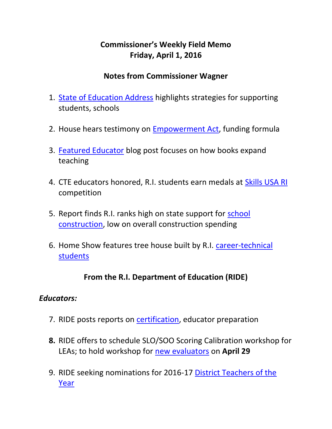## **Commissioner's Weekly Field Memo Friday, April 1, 2016**

#### **Notes from Commissioner Wagner**

- 1. [State of Education Address](#page-2-0) highlights strategies for supporting students, schools
- 2. House hears testimony on [Empowerment Act,](#page-3-0) funding formula
- 3. [Featured Educator](#page-5-0) blog post focuses on how books expand teaching
- 4. CTE educators honored, R.I. students earn medals at [Skills USA RI](#page-6-0) competition
- 5. Report finds R.I. ranks high on state support for [school](#page-6-1)  [construction,](#page-6-1) low on overall construction spending
- 6. Home Show features tree house built by R.I. [career-technical](#page-7-0)  [students](#page-7-0)

#### **From the R.I. Department of Education (RIDE)**

#### *Educators:*

- 7. RIDE posts reports on [certification,](#page-7-1) educator preparation
- **8.** RIDE offers to schedule SLO/SOO Scoring Calibration workshop for LEAs; to hold workshop for [new evaluators](#page-8-0) on **April 29**
- 9. RIDE seeking nominations for 2016-17 [District Teachers of the](#page-9-0)  [Year](#page-9-0)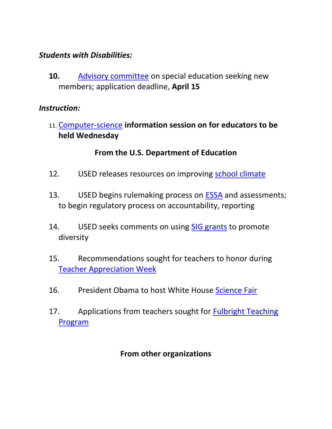#### *Students with Disabilities:*

**10.** [Advisory committee](#page-9-1) on special education seeking new members; application deadline, **April 15**

#### *Instruction:*

11. [Computer-science](#page-10-0) **information session on for educators to be held Wednesday**

#### **From the U.S. Department of Education**

- 12. USED releases resources on improving [school climate](#page-11-0)
- 13. USED begins rulemaking process on [ESSA](#page-12-0) and assessments; to begin regulatory process on accountability, reporting
- 14. USED seeks comments on using [SIG grants](#page-13-0) to promote diversity
- 15. Recommendations sought for teachers to honor during [Teacher Appreciation Week](#page-13-1)
- 16. President Obama to host White House [Science Fair](#page-14-0)
- 17. Applications from teachers sought for Fulbright Teaching [Program](#page-14-1)

#### **From other organizations**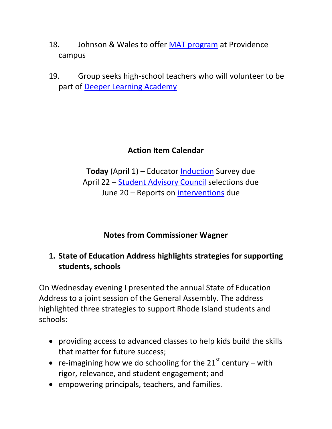- 18. Johnson & Wales to offer [MAT program](#page-14-2) at Providence campus
- 19. Group seeks high-school teachers who will volunteer to be part of [Deeper Learning Academy](#page-15-0)

## **Action Item Calendar**

**Today** (April 1) – Educator [Induction](http://ride.ri.gov/Portals/0/Uploads/Documents/FieldMemos/031816-FM.pdf) Survey due April 22 – [Student Advisory Council](http://ride.ri.gov/Portals/0/Uploads/Documents/FieldMemos/031816-FM.pdf) selections due June 20 – Reports on [interventions](http://ride.ri.gov/Portals/0/Uploads/Documents/FieldMemos/031816-FM.pdf) due

**Notes from Commissioner Wagner**

## <span id="page-2-0"></span>**1. State of Education Address highlights strategies for supporting students, schools**

On Wednesday evening I presented the annual State of Education Address to a joint session of the General Assembly. The address highlighted three strategies to support Rhode Island students and schools:

- providing access to advanced classes to help kids build the skills that matter for future success;
- re-imagining how we do schooling for the  $21^{st}$  century with rigor, relevance, and student engagement; and
- empowering principals, teachers, and families.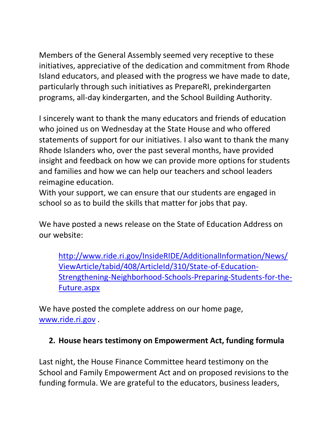Members of the General Assembly seemed very receptive to these initiatives, appreciative of the dedication and commitment from Rhode Island educators, and pleased with the progress we have made to date, particularly through such initiatives as PrepareRI, prekindergarten programs, all-day kindergarten, and the School Building Authority.

I sincerely want to thank the many educators and friends of education who joined us on Wednesday at the State House and who offered statements of support for our initiatives. I also want to thank the many Rhode Islanders who, over the past several months, have provided insight and feedback on how we can provide more options for students and families and how we can help our teachers and school leaders reimagine education.

With your support, we can ensure that our students are engaged in school so as to build the skills that matter for jobs that pay.

We have posted a news release on the State of Education Address on our website:

[http://www.ride.ri.gov/InsideRIDE/AdditionalInformation/News/](http://www.ride.ri.gov/InsideRIDE/AdditionalInformation/News/ViewArticle/tabid/408/ArticleId/310/State-of-Education-Strengthening-Neighborhood-Schools-Preparing-Students-for-the-Future.aspx) [ViewArticle/tabid/408/ArticleId/310/State-of-Education-](http://www.ride.ri.gov/InsideRIDE/AdditionalInformation/News/ViewArticle/tabid/408/ArticleId/310/State-of-Education-Strengthening-Neighborhood-Schools-Preparing-Students-for-the-Future.aspx)[Strengthening-Neighborhood-Schools-Preparing-Students-for-the-](http://www.ride.ri.gov/InsideRIDE/AdditionalInformation/News/ViewArticle/tabid/408/ArticleId/310/State-of-Education-Strengthening-Neighborhood-Schools-Preparing-Students-for-the-Future.aspx)[Future.aspx](http://www.ride.ri.gov/InsideRIDE/AdditionalInformation/News/ViewArticle/tabid/408/ArticleId/310/State-of-Education-Strengthening-Neighborhood-Schools-Preparing-Students-for-the-Future.aspx)

We have posted the complete address on our home page, [www.ride.ri.gov](http://www.ride.ri.gov/) .

### <span id="page-3-0"></span>**2. House hears testimony on Empowerment Act, funding formula**

Last night, the House Finance Committee heard testimony on the School and Family Empowerment Act and on proposed revisions to the funding formula. We are grateful to the educators, business leaders,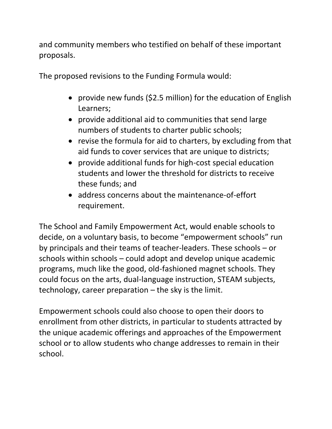and community members who testified on behalf of these important proposals.

The proposed revisions to the Funding Formula would:

- provide new funds (\$2.5 million) for the education of English Learners;
- provide additional aid to communities that send large numbers of students to charter public schools;
- revise the formula for aid to charters, by excluding from that aid funds to cover services that are unique to districts;
- provide additional funds for high-cost special education students and lower the threshold for districts to receive these funds; and
- address concerns about the maintenance-of-effort requirement.

The School and Family Empowerment Act, would enable schools to decide, on a voluntary basis, to become "empowerment schools" run by principals and their teams of teacher-leaders. These schools – or schools within schools – could adopt and develop unique academic programs, much like the good, old-fashioned magnet schools. They could focus on the arts, dual-language instruction, STEAM subjects, technology, career preparation – the sky is the limit.

Empowerment schools could also choose to open their doors to enrollment from other districts, in particular to students attracted by the unique academic offerings and approaches of the Empowerment school or to allow students who change addresses to remain in their school.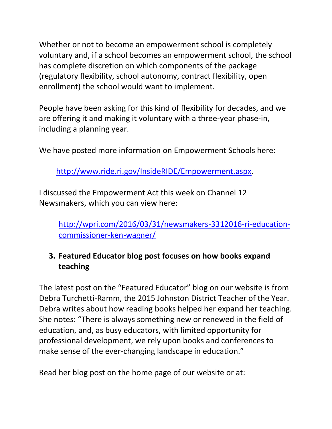Whether or not to become an empowerment school is completely voluntary and, if a school becomes an empowerment school, the school has complete discretion on which components of the package (regulatory flexibility, school autonomy, contract flexibility, open enrollment) the school would want to implement.

People have been asking for this kind of flexibility for decades, and we are offering it and making it voluntary with a three-year phase-in, including a planning year.

We have posted more information on Empowerment Schools here:

[http://www.ride.ri.gov/InsideRIDE/Empowerment.aspx.](http://www.ride.ri.gov/InsideRIDE/Empowerment.aspx)

I discussed the Empowerment Act this week on Channel 12 Newsmakers, which you can view here:

[http://wpri.com/2016/03/31/newsmakers-3312016-ri-education](http://wpri.com/2016/03/31/newsmakers-3312016-ri-education-commissioner-ken-wagner/)[commissioner-ken-wagner/](http://wpri.com/2016/03/31/newsmakers-3312016-ri-education-commissioner-ken-wagner/)

## <span id="page-5-0"></span>**3. Featured Educator blog post focuses on how books expand teaching**

The latest post on the "Featured Educator" blog on our website is from Debra Turchetti-Ramm, the 2015 Johnston District Teacher of the Year. Debra writes about how reading books helped her expand her teaching. She notes: "There is always something new or renewed in the field of education, and, as busy educators, with limited opportunity for professional development, we rely upon books and conferences to make sense of the ever-changing landscape in education."

Read her blog post on the home page of our website or at: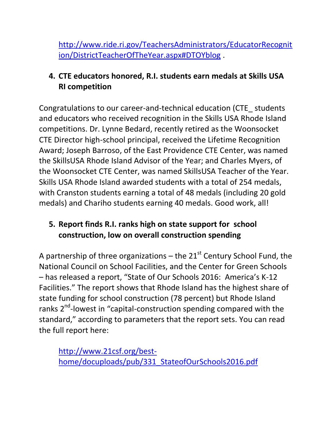[http://www.ride.ri.gov/TeachersAdministrators/EducatorRecognit](http://www.ride.ri.gov/TeachersAdministrators/EducatorRecognition/DistrictTeacherOfTheYear.aspx#DTOYblog) [ion/DistrictTeacherOfTheYear.aspx#DTOYblog](http://www.ride.ri.gov/TeachersAdministrators/EducatorRecognition/DistrictTeacherOfTheYear.aspx#DTOYblog) .

## <span id="page-6-0"></span>**4. CTE educators honored, R.I. students earn medals at Skills USA RI competition**

Congratulations to our career-and-technical education (CTE\_ students and educators who received recognition in the Skills USA Rhode Island competitions. Dr. Lynne Bedard, recently retired as the Woonsocket CTE Director high-school principal, received the Lifetime Recognition Award; Joseph Barroso, of the East Providence CTE Center, was named the SkillsUSA Rhode Island Advisor of the Year; and Charles Myers, of the Woonsocket CTE Center, was named SkillsUSA Teacher of the Year. Skills USA Rhode Island awarded students with a total of 254 medals, with Cranston students earning a total of 48 medals (including 20 gold medals) and Chariho students earning 40 medals. Good work, all!

## <span id="page-6-1"></span>**5. Report finds R.I. ranks high on state support for school construction, low on overall construction spending**

A partnership of three organizations – the  $21^{st}$  Century School Fund, the National Council on School Facilities, and the Center for Green Schools – has released a report, "State of Our Schools 2016: America's K-12 Facilities." The report shows that Rhode Island has the highest share of state funding for school construction (78 percent) but Rhode Island ranks 2<sup>nd</sup>-lowest in "capital-construction spending compared with the standard," according to parameters that the report sets. You can read the full report here:

[http://www.21csf.org/best](http://www.21csf.org/best-home/docuploads/pub/331_StateofOurSchools2016.pdf)[home/docuploads/pub/331\\_StateofOurSchools2016.pdf](http://www.21csf.org/best-home/docuploads/pub/331_StateofOurSchools2016.pdf)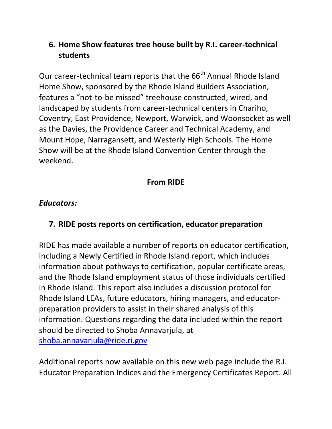## <span id="page-7-0"></span>**6. Home Show features tree house built by R.I. career-technical students**

Our career-technical team reports that the 66<sup>th</sup> Annual Rhode Island Home Show, sponsored by the Rhode Island Builders Association, features a "not-to-be missed" treehouse constructed, wired, and landscaped by students from career-technical centers in Chariho, Coventry, East Providence, Newport, Warwick, and Woonsocket as well as the Davies, the Providence Career and Technical Academy, and Mount Hope, Narragansett, and Westerly High Schools. The Home Show will be at the Rhode Island Convention Center through the weekend.

## **From RIDE**

#### *Educators:*

### <span id="page-7-1"></span>**7. RIDE posts reports on certification, educator preparation**

RIDE has made available a number of reports on educator certification, including a Newly Certified in Rhode Island report, which includes information about pathways to certification, popular certificate areas, and the Rhode Island employment status of those individuals certified in Rhode Island. This report also includes a discussion protocol for Rhode Island LEAs, future educators, hiring managers, and educatorpreparation providers to assist in their shared analysis of this information. Questions regarding the data included within the report should be directed to Shoba Annavarjula, at [shoba.annavarjula@ride.ri.gov](mailto:shoba.annavarjula@ride.ri.gov)

Additional reports now available on this new web page include the R.I. Educator Preparation Indices and the Emergency Certificates Report. All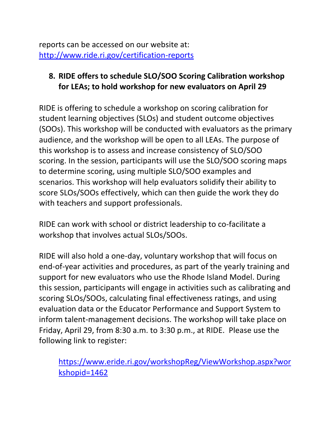reports can be accessed on our website at: <http://www.ride.ri.gov/certification-reports>

#### <span id="page-8-0"></span>**8. RIDE offers to schedule SLO/SOO Scoring Calibration workshop for LEAs; to hold workshop for new evaluators on April 29**

RIDE is offering to schedule a workshop on scoring calibration for student learning objectives (SLOs) and student outcome objectives (SOOs). This workshop will be conducted with evaluators as the primary audience, and the workshop will be open to all LEAs. The purpose of this workshop is to assess and increase consistency of SLO/SOO scoring. In the session, participants will use the SLO/SOO scoring maps to determine scoring, using multiple SLO/SOO examples and scenarios. This workshop will help evaluators solidify their ability to score SLOs/SOOs effectively, which can then guide the work they do with teachers and support professionals.

RIDE can work with school or district leadership to co-facilitate a workshop that involves actual SLOs/SOOs.

RIDE will also hold a one-day, voluntary workshop that will focus on end-of-year activities and procedures, as part of the yearly training and support for new evaluators who use the Rhode Island Model. During this session, participants will engage in activities such as calibrating and scoring SLOs/SOOs, calculating final effectiveness ratings, and using evaluation data or the Educator Performance and Support System to inform talent-management decisions. The workshop will take place on Friday, April 29, from 8:30 a.m. to 3:30 p.m., at RIDE. Please use the following link to register:

[https://www.eride.ri.gov/workshopReg/ViewWorkshop.aspx?wor](https://www.eride.ri.gov/workshopReg/ViewWorkshop.aspx?workshopid=1462) [kshopid=1462](https://www.eride.ri.gov/workshopReg/ViewWorkshop.aspx?workshopid=1462)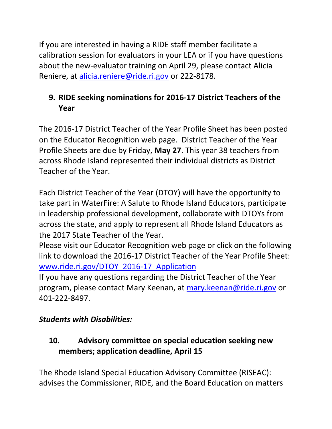If you are interested in having a RIDE staff member facilitate a calibration session for evaluators in your LEA or if you have questions about the new-evaluator training on April 29, please contact Alicia Reniere, at [alicia.reniere@ride.ri.gov](mailto:alicia.reniere@ride.ri.gov) or 222-8178.

## <span id="page-9-0"></span>**9. RIDE seeking nominations for 2016-17 District Teachers of the Year**

The 2016-17 District Teacher of the Year Profile Sheet has been posted on the Educator Recognition web page. District Teacher of the Year Profile Sheets are due by Friday, **May 27**. This year 38 teachers from across Rhode Island represented their individual districts as District Teacher of the Year.

Each District Teacher of the Year (DTOY) will have the opportunity to take part in WaterFire: A Salute to Rhode Island Educators, participate in leadership professional development, collaborate with DTOYs from across the state, and apply to represent all Rhode Island Educators as the 2017 State Teacher of the Year.

Please visit our Educator Recognition web page or click on the following link to download the 2016-17 District Teacher of the Year Profile Sheet: [www.ride.ri.gov/DTOY\\_2016-17\\_Application](http://www.ride.ri.gov/DTOY_2016-17_Application)

If you have any questions regarding the District Teacher of the Year program, please contact Mary Keenan, at [mary.keenan@ride.ri.gov](mailto:mary.keenan@ride.ri.gov) or 401-222-8497.

## *Students with Disabilities:*

# <span id="page-9-1"></span>**10. Advisory committee on special education seeking new members; application deadline, April 15**

The Rhode Island Special Education Advisory Committee (RISEAC): advises the Commissioner, RIDE, and the Board Education on matters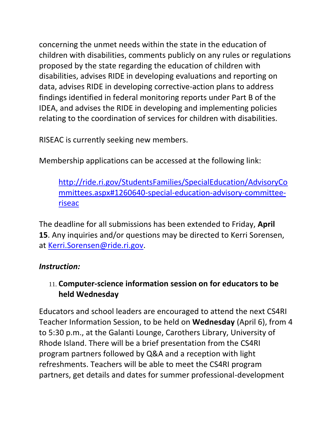concerning the unmet needs within the state in the education of children with disabilities, comments publicly on any rules or regulations proposed by the state regarding the education of children with disabilities, advises RIDE in developing evaluations and reporting on data, advises RIDE in developing corrective-action plans to address findings identified in federal monitoring reports under Part B of the IDEA, and advises the RIDE in developing and implementing policies relating to the coordination of services for children with disabilities.

RISEAC is currently seeking new members.

Membership applications can be accessed at the following link:

[http://ride.ri.gov/StudentsFamilies/SpecialEducation/AdvisoryCo](http://ride.ri.gov/StudentsFamilies/SpecialEducation/AdvisoryCommittees.aspx#1260640-special-education-advisory-committee-riseac) [mmittees.aspx#1260640-special-education-advisory-committee](http://ride.ri.gov/StudentsFamilies/SpecialEducation/AdvisoryCommittees.aspx#1260640-special-education-advisory-committee-riseac)[riseac](http://ride.ri.gov/StudentsFamilies/SpecialEducation/AdvisoryCommittees.aspx#1260640-special-education-advisory-committee-riseac)

The deadline for all submissions has been extended to Friday, **April 15**. Any inquiries and/or questions may be directed to Kerri Sorensen, at [Kerri.Sorensen@ride.ri.gov.](mailto:Kerri.Sorensen@ride.ri.gov)

### *Instruction:*

## <span id="page-10-0"></span>11. **Computer-science information session on for educators to be held Wednesday**

Educators and school leaders are encouraged to attend the next CS4RI Teacher Information Session, to be held on **Wednesday** (April 6), from 4 to 5:30 p.m., at the Galanti Lounge, Carothers Library, University of Rhode Island. There will be a brief presentation from the CS4RI program partners followed by Q&A and a reception with light refreshments. Teachers will be able to meet the CS4RI program partners, get details and dates for summer professional-development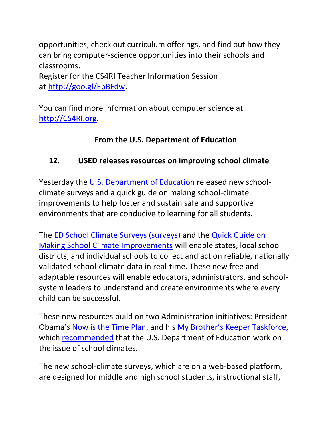opportunities, check out curriculum offerings, and find out how they can bring computer-science opportunities into their schools and classrooms.

Register for the CS4RI Teacher Information Session at [http://goo.gl/EpBFdw.](http://goo.gl/EpBFdw)

You can find more information about computer science at [http://CS4RI.org.](http://cs4ri.org/)

## **From the U.S. Department of Education**

## <span id="page-11-0"></span>**12. USED releases resources on improving school climate**

Yesterday the [U.S. Department of Education](http://www.ed.gov/) released new schoolclimate surveys and a quick guide on making school-climate improvements to help foster and sustain safe and supportive environments that are conducive to learning for all students.

The ED [School Climate Surveys \(surveys\)](https://safesupportivelearning.ed.gov/edscls) and the [Quick Guide on](http://safesupportivelearning.ed.gov/SCIRP/Quick-Guide)  [Making School Climate Improvements](http://safesupportivelearning.ed.gov/SCIRP/Quick-Guide) will enable states, local school districts, and individual schools to collect and act on reliable, nationally validated school-climate data in real-time. These new free and adaptable resources will enable educators, administrators, and schoolsystem leaders to understand and create environments where every child can be successful.

These new resources build on two Administration initiatives: President Obama's [Now is the Time Plan,](https://www.whitehouse.gov/issues/preventing-gun-violence) and his [My Brother's Keeper Taskfor](https://www.whitehouse.gov/my-brothers-keeper)ce, which [recommended](https://www.whitehouse.gov/sites/default/files/docs/053014_mbk_report.pdf) that the U.S. Department of Education work on the issue of school climates.

The new school-climate surveys, which are on a web-based platform, are designed for middle and high school students, instructional staff,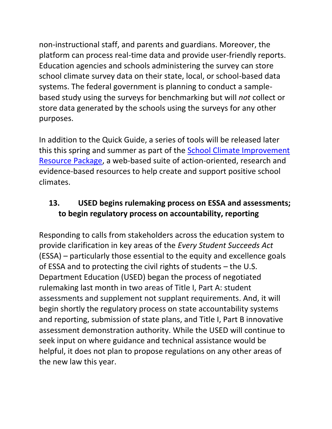non-instructional staff, and parents and guardians. Moreover, the platform can process real-time data and provide user-friendly reports. Education agencies and schools administering the survey can store school climate survey data on their state, local, or school-based data systems. The federal government is planning to conduct a samplebased study using the surveys for benchmarking but will *not* collect or store data generated by the schools using the surveys for any other purposes.

In addition to the Quick Guide, a series of tools will be released later this this spring and summer as part of the [School Climate Improvement](https://safesupportivelearning.ed.gov/scirp/about)  [Resource Package,](https://safesupportivelearning.ed.gov/scirp/about) a web-based suite of action-oriented, research and evidence-based resources to help create and support positive school climates.

## <span id="page-12-0"></span>**13. USED begins rulemaking process on ESSA and assessments; to begin regulatory process on accountability, reporting**

Responding to calls from stakeholders across the education system to provide clarification in key areas of the *Every Student Succeeds Act* (ESSA) – particularly those essential to the equity and excellence goals of ESSA and to protecting the civil rights of students – the U.S. Department Education (USED) began the process of negotiated rulemaking last month in two areas of Title I, Part A: student assessments and supplement not supplant requirements. And, it will begin shortly the regulatory process on state accountability systems and reporting, submission of state plans, and Title I, Part B innovative assessment demonstration authority. While the USED will continue to seek input on where guidance and technical assistance would be helpful, it does not plan to propose regulations on any other areas of the new law this year.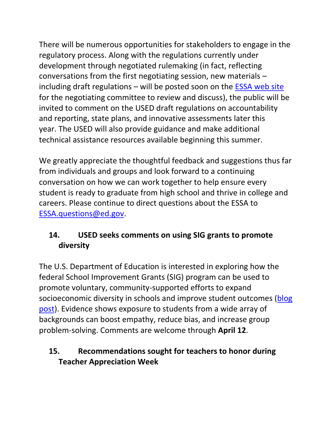There will be numerous opportunities for stakeholders to engage in the regulatory process. Along with the regulations currently under development through negotiated rulemaking (in fact, reflecting conversations from the first negotiating session, new materials – including draft regulations  $-$  will be posted soon on the [ESSA web site](http://www.ed.gov/essa/) for the negotiating committee to review and discuss), the public will be invited to comment on the USED draft regulations on accountability and reporting, state plans, and innovative assessments later this year. The USED will also provide guidance and make additional technical assistance resources available beginning this summer.

We greatly appreciate the thoughtful feedback and suggestions thus far from individuals and groups and look forward to a continuing conversation on how we can work together to help ensure every student is ready to graduate from high school and thrive in college and careers. Please continue to direct questions about the ESSA to [ESSA.questions@ed.gov.](mailto:ESSA.questions@ed.gov)

## <span id="page-13-0"></span>**14. USED seeks comments on using SIG grants to promote diversity**

The U.S. Department of Education is interested in exploring how the federal School Improvement Grants (SIG) program can be used to promote voluntary, community-supported efforts to expand socioeconomic diversity in schools and improve student outcomes (blog [post\)](http://blog.ed.gov/2016/03/socioeconomic-diversity-as-a-school-turnaround-strategy/). Evidence shows exposure to students from a wide array of backgrounds can boost empathy, reduce bias, and increase group problem-solving. Comments are welcome through **April 12**.

## <span id="page-13-1"></span>**15. Recommendations sought for teachers to honor during Teacher Appreciation Week**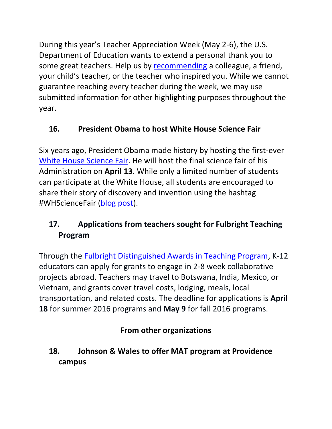During this year's Teacher Appreciation Week (May 2-6), the U.S. Department of Education wants to extend a personal thank you to some great teachers. Help us by [recommending](https://docs.google.com/forms/d/1XHaFyZKBnG1XGrYeHOVbumbZIRM7YdKcCg0iOwYJt3M/viewform) a colleague, a friend, your child's teacher, or the teacher who inspired you. While we cannot guarantee reaching every teacher during the week, we may use submitted information for other highlighting purposes throughout the year.

# <span id="page-14-0"></span>**16. President Obama to host White House Science Fair**

Six years ago, President Obama made history by hosting the first-ever [White House Science Fair.](https://www.whitehouse.gov/science-fair) He will host the final science fair of his Administration on **April 13**. While only a limited number of students can participate at the White House, all students are encouraged to share their story of discovery and invention using the hashtag #WHScienceFair [\(blog post\)](https://www.whitehouse.gov/blog/2016/03/30/announcing-2016-white-house-science-fair).

# <span id="page-14-1"></span>**17. Applications from teachers sought for Fulbright Teaching Program**

Through the [Fulbright Distinguished Awards in Teaching Program,](http://www.fulbrightteacherexchange.org/new-short-term-program) K-12 educators can apply for grants to engage in 2-8 week collaborative projects abroad. Teachers may travel to Botswana, India, Mexico, or Vietnam, and grants cover travel costs, lodging, meals, local transportation, and related costs. The deadline for applications is **April 18** for summer 2016 programs and **May 9** for fall 2016 programs.

# **From other organizations**

# <span id="page-14-2"></span>**18. Johnson & Wales to offer MAT program at Providence campus**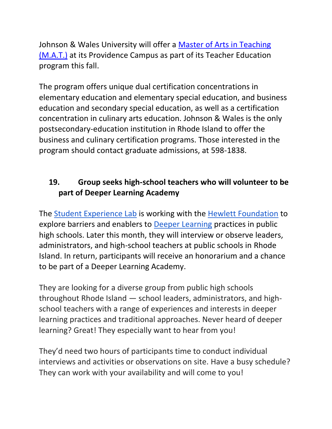Johnson & Wales University will offer a [Master of Arts in Teaching](https://academics.jwu.edu/school-of-professional-studies/teacher-education-mat/?taxId=170)  [\(M.A.T.\)](https://academics.jwu.edu/school-of-professional-studies/teacher-education-mat/?taxId=170) at its Providence Campus as part of its Teacher Education program this fall.

The program offers unique dual certification concentrations in elementary education and elementary special education, and business education and secondary special education, as well as a certification concentration in culinary arts education. Johnson & Wales is the only postsecondary-education institution in Rhode Island to offer the business and culinary certification programs. Those interested in the program should contact graduate admissions, at 598-1838.

## <span id="page-15-0"></span>**19. Group seeks high-school teachers who will volunteer to be part of Deeper Learning Academy**

The [Student Experience Lab](http://www.businessinnovationfactory.com/projects/student) is working with the [Hewlett Foundation](http://www.hewlett.org/) to explore barriers and enablers to [Deeper Learning](http://www.hewlett.org/programs/education/deeper-learning) practices in public high schools. Later this month, they will interview or observe leaders, administrators, and high-school teachers at public schools in Rhode Island. In return, participants will receive an honorarium and a chance to be part of a Deeper Learning Academy.

They are looking for a diverse group from public high schools throughout Rhode Island — school leaders, administrators, and highschool teachers with a range of experiences and interests in deeper learning practices and traditional approaches. Never heard of deeper learning? Great! They especially want to hear from you!

They'd need two hours of participants time to conduct individual interviews and activities or observations on site. Have a busy schedule? They can work with your availability and will come to you!